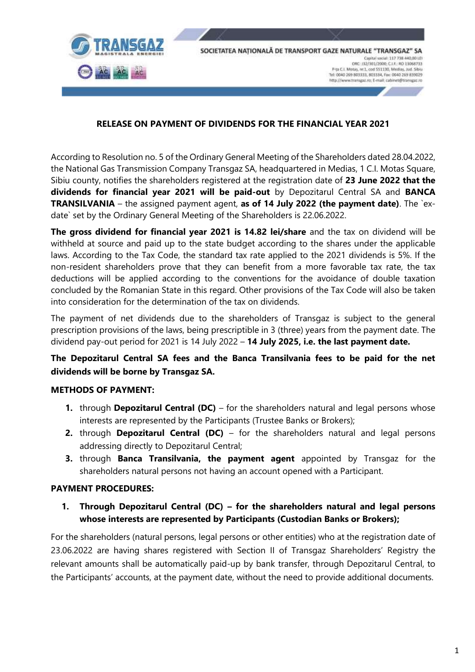

### **RELEASE ON PAYMENT OF DIVIDENDS FOR THE FINANCIAL YEAR 2021**

According to Resolution no. 5 of the Ordinary General Meeting of the Shareholders dated 28.04.2022, the National Gas Transmission Company Transgaz SA, headquartered in Medias, 1 C.I. Motas Square, Sibiu county, notifies the shareholders registered at the registration date of **23 June 2022 that the dividends for financial year 2021 will be paid-out** by Depozitarul Central SA and **BANCA TRANSILVANIA** – the assigned payment agent, **as of 14 July 2022 (the payment date)**. The `exdate` set by the Ordinary General Meeting of the Shareholders is 22.06.2022.

**The gross dividend for financial year 2021 is 14.82 lei/share** and the tax on dividend will be withheld at source and paid up to the state budget according to the shares under the applicable laws. According to the Tax Code, the standard tax rate applied to the 2021 dividends is 5%. If the non-resident shareholders prove that they can benefit from a more favorable tax rate, the tax deductions will be applied according to the conventions for the avoidance of double taxation concluded by the Romanian State in this regard. Other provisions of the Tax Code will also be taken into consideration for the determination of the tax on dividends.

The payment of net dividends due to the shareholders of Transgaz is subject to the general prescription provisions of the laws, being prescriptible in 3 (three) years from the payment date. The dividend pay-out period for 2021 is 14 July 2022 – **14 July 2025, i.e. the last payment date.**

## **The Depozitarul Central SA fees and the Banca Transilvania fees to be paid for the net dividends will be borne by Transgaz SA.**

#### **METHODS OF PAYMENT:**

- **1.** through **Depozitarul Central (DC)** for the shareholders natural and legal persons whose interests are represented by the Participants (Trustee Banks or Brokers);
- **2.** through **Depozitarul Central (DC)** for the shareholders natural and legal persons addressing directly to Depozitarul Central;
- **3.** through **Banca Transilvania, the payment agent** appointed by Transgaz for the shareholders natural persons not having an account opened with a Participant.

#### **PAYMENT PROCEDURES:**

**1. Through Depozitarul Central (DC) – for the shareholders natural and legal persons whose interests are represented by Participants (Custodian Banks or Brokers);**

For the shareholders (natural persons, legal persons or other entities) who at the registration date of 23.06.2022 are having shares registered with Section II of Transgaz Shareholders' Registry the relevant amounts shall be automatically paid-up by bank transfer, through Depozitarul Central, to the Participants' accounts, at the payment date, without the need to provide additional documents.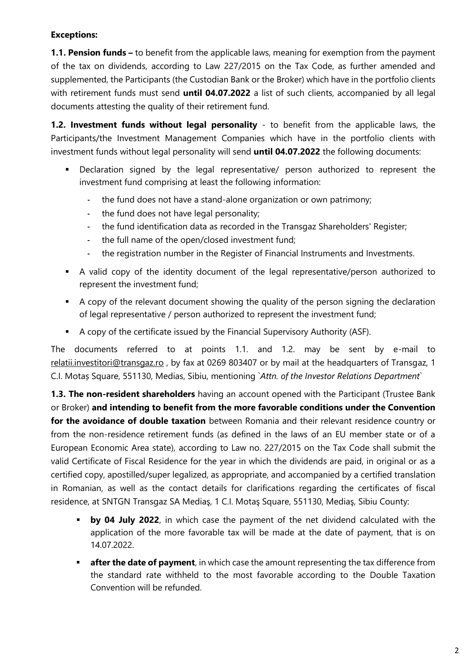## **Exceptions:**

**1.1. Pension funds –** to benefit from the applicable laws, meaning for exemption from the payment of the tax on dividends, according to Law 227/2015 on the Tax Code, as further amended and supplemented, the Participants (the Custodian Bank or the Broker) which have in the portfolio clients with retirement funds must send **until 04.07.2022** a list of such clients, accompanied by all legal documents attesting the quality of their retirement fund.

**1.2. Investment funds without legal personality** - to benefit from the applicable laws, the Participants/the Investment Management Companies which have in the portfolio clients with investment funds without legal personality will send **until 04.07.2022** the following documents:

- Declaration signed by the legal representative/ person authorized to represent the investment fund comprising at least the following information:
	- the fund does not have a stand-alone organization or own patrimony;
	- the fund does not have legal personality;
	- the fund identification data as recorded in the Transgaz Shareholders' Register;
	- the full name of the open/closed investment fund;
	- the registration number in the Register of Financial Instruments and Investments.
- A valid copy of the identity document of the legal representative/person authorized to represent the investment fund;
- A copy of the relevant document showing the quality of the person signing the declaration of legal representative / person authorized to represent the investment fund;
- A copy of the certificate issued by the Financial Supervisory Authority (ASF).

The documents referred to at points 1.1. and 1.2. may be sent by e-mail to [relatii.investitori@transgaz.ro](mailto:relatii.investitori@transgaz.ro) , by fax at 0269 803407 or by mail at the headquarters of Transgaz, 1 C.I. Motaș Square, 551130, Medias, Sibiu, mentioning `*Attn. of the Investor Relations Department*`

**1.3. The non-resident shareholders** having an account opened with the Participant (Trustee Bank or Broker) **and intending to benefit from the more favorable conditions under the Convention for the avoidance of double taxation** between Romania and their relevant residence country or from the non-residence retirement funds (as defined in the laws of an EU member state or of a European Economic Area state), according to Law no. 227/2015 on the Tax Code shall submit the valid Certificate of Fiscal Residence for the year in which the dividends are paid, in original or as a certified copy, apostilled/super legalized, as appropriate, and accompanied by a certified translation in Romanian, as well as the contact details for clarifications regarding the certificates of fiscal residence, at SNTGN Transgaz SA Mediaş, 1 C.I. Motaş Square, 551130, Mediaş, Sibiu County:

- **by 04 July 2022**, in which case the payment of the net dividend calculated with the application of the more favorable tax will be made at the date of payment, that is on 14.07.2022.
- **after the date of payment**, in which case the amount representing the tax difference from the standard rate withheld to the most favorable according to the Double Taxation Convention will be refunded.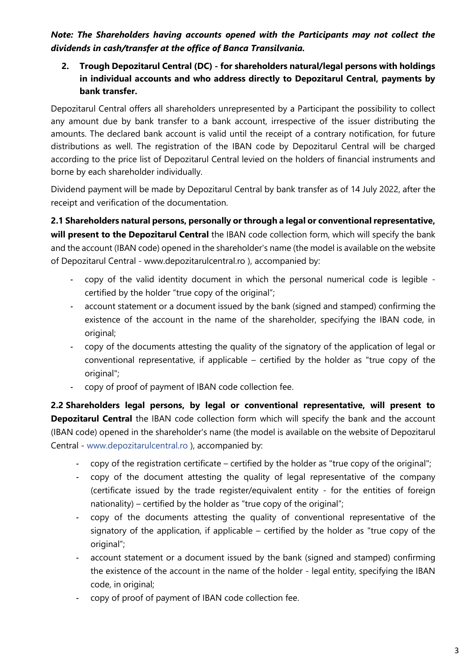*Note: The Shareholders having accounts opened with the Participants may not collect the dividends in cash/transfer at the office of Banca Transilvania.*

**2. Trough Depozitarul Central (DC) - for shareholders natural/legal persons with holdings in individual accounts and who address directly to Depozitarul Central, payments by bank transfer.**

Depozitarul Central offers all shareholders unrepresented by a Participant the possibility to collect any amount due by bank transfer to a bank account, irrespective of the issuer distributing the amounts. The declared bank account is valid until the receipt of a contrary notification, for future distributions as well. The registration of the IBAN code by Depozitarul Central will be charged according to the price list of Depozitarul Central levied on the holders of financial instruments and borne by each shareholder individually.

Dividend payment will be made by Depozitarul Central by bank transfer as of 14 July 2022, after the receipt and verification of the documentation.

**2.1 Shareholders natural persons, personally or through a legal or conventional representative, will present to the Depozitarul Central** the IBAN code collection form, which will specify the bank and the account (IBAN code) opened in the shareholder's name (the model is available on the website of Depozitarul Central - [www.depozitarulcentral.ro](http://www.depozitarulcentral.ro/) ), accompanied by:

- copy of the valid identity document in which the personal numerical code is legible certified by the holder "true copy of the original";
- account statement or a document issued by the bank (signed and stamped) confirming the existence of the account in the name of the shareholder, specifying the IBAN code, in original;
- copy of the documents attesting the quality of the signatory of the application of legal or conventional representative, if applicable – certified by the holder as "true copy of the original":
- copy of proof of payment of IBAN code collection fee.

**2.2 Shareholders legal persons, by legal or conventional representative, will present to Depozitarul Central** the IBAN code collection form which will specify the bank and the account (IBAN code) opened in the shareholder's name (the model is available on the website of Depozitarul Central - [www.depozitarulcentral.ro](http://www.depozitarulcentral.ro/) ), accompanied by:

- copy of the registration certificate certified by the holder as "true copy of the original";
- copy of the document attesting the quality of legal representative of the company (certificate issued by the trade register/equivalent entity - for the entities of foreign nationality) – certified by the holder as "true copy of the original";
- copy of the documents attesting the quality of conventional representative of the signatory of the application, if applicable – certified by the holder as "true copy of the original";
- account statement or a document issued by the bank (signed and stamped) confirming the existence of the account in the name of the holder - legal entity, specifying the IBAN code, in original;
- copy of proof of payment of IBAN code collection fee.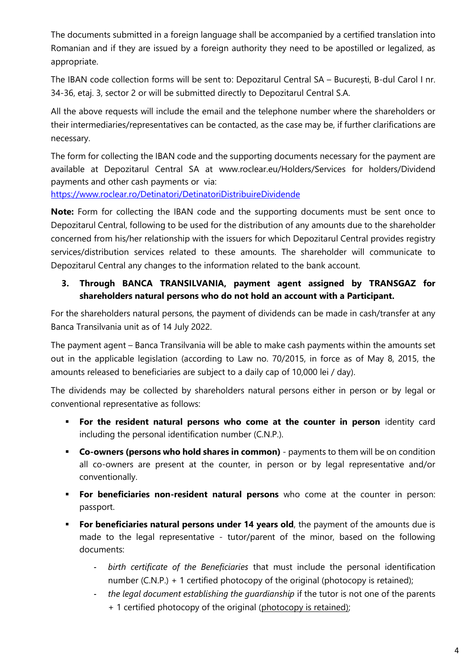The documents submitted in a foreign language shall be accompanied by a certified translation into Romanian and if they are issued by a foreign authority they need to be apostilled or legalized, as appropriate.

The IBAN code collection forms will be sent to: Depozitarul Central SA – București, B-dul Carol I nr. 34-36, etaj. 3, sector 2 or will be submitted directly to Depozitarul Central S.A.

All the above requests will include the email and the telephone number where the shareholders or their intermediaries/representatives can be contacted, as the case may be, if further clarifications are necessary.

The form for collecting the IBAN code and the supporting documents necessary for the payment are available at Depozitarul Central SA at [www.roclear.eu/Holders/Services for holders/D](http://www.roclear.eu/Holders/Services%20for%20holders/)ividend payments and other cash payments or via:

<https://www.roclear.ro/Detinatori/DetinatoriDistribuireDividende>

**Note:** Form for collecting the IBAN code and the supporting documents must be sent once to Depozitarul Central, following to be used for the distribution of any amounts due to the shareholder concerned from his/her relationship with the issuers for which Depozitarul Central provides registry services/distribution services related to these amounts. The shareholder will communicate to Depozitarul Central any changes to the information related to the bank account.

# **3. Through BANCA TRANSILVANIA, payment agent assigned by TRANSGAZ for shareholders natural persons who do not hold an account with a Participant.**

For the shareholders natural persons, the payment of dividends can be made in cash/transfer at any Banca Transilvania unit as of 14 July 2022.

The payment agent – Banca Transilvania will be able to make cash payments within the amounts set out in the applicable legislation (according to Law no. 70/2015, in force as of May 8, 2015, the amounts released to beneficiaries are subject to a daily cap of 10,000 lei / day).

The dividends may be collected by shareholders natural persons either in person or by legal or conventional representative as follows:

- **For the resident natural persons who come at the counter in person** identity card including the personal identification number (C.N.P.).
- **Co-owners (persons who hold shares in common)**  payments to them will be on condition all co-owners are present at the counter, in person or by legal representative and/or conventionally.
- **For beneficiaries non-resident natural persons** who come at the counter in person: passport.
- **For beneficiaries natural persons under 14 years old, the payment of the amounts due is** made to the legal representative - tutor/parent of the minor, based on the following documents:
	- *birth certificate of the Beneficiaries* that must include the personal identification number (C.N.P.) + 1 certified photocopy of the original (photocopy is retained);
	- the legal document establishing the guardianship if the tutor is not one of the parents + 1 certified photocopy of the original (photocopy is retained);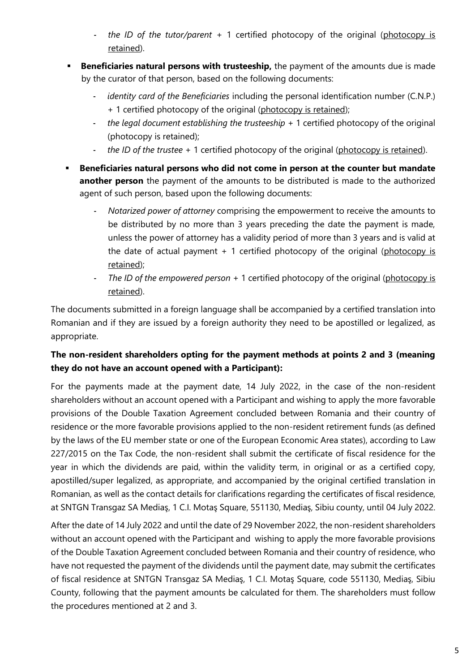- *the ID of the tutor/parent* + 1 certified photocopy of the original (photocopy is retained).
- **Beneficiaries natural persons with trusteeship,** the payment of the amounts due is made by the curator of that person, based on the following documents:
	- identity card of the Beneficiaries including the personal identification number (C.N.P.) + 1 certified photocopy of the original (photocopy is retained);
	- *the legal document establishing the trusteeship* + 1 certified photocopy of the original (photocopy is retained);
	- *the ID of the trustee* + 1 certified photocopy of the original (photocopy is retained).
- **Beneficiaries natural persons who did not come in person at the counter but mandate another person** the payment of the amounts to be distributed is made to the authorized agent of such person, based upon the following documents:
	- *Notarized power of attorney* comprising the empowerment to receive the amounts to be distributed by no more than 3 years preceding the date the payment is made, unless the power of attorney has a validity period of more than 3 years and is valid at the date of actual payment  $+1$  certified photocopy of the original (photocopy is retained);
	- *The ID of the empowered person* + 1 certified photocopy of the original (photocopy is retained).

The documents submitted in a foreign language shall be accompanied by a certified translation into Romanian and if they are issued by a foreign authority they need to be apostilled or legalized, as appropriate.

# **The non-resident shareholders opting for the payment methods at points 2 and 3 (meaning they do not have an account opened with a Participant):**

For the payments made at the payment date, 14 July 2022, in the case of the non-resident shareholders without an account opened with a Participant and wishing to apply the more favorable provisions of the Double Taxation Agreement concluded between Romania and their country of residence or the more favorable provisions applied to the non-resident retirement funds (as defined by the laws of the EU member state or one of the European Economic Area states), according to Law 227/2015 on the Tax Code, the non-resident shall submit the certificate of fiscal residence for the year in which the dividends are paid, within the validity term, in original or as a certified copy, apostilled/super legalized, as appropriate, and accompanied by the original certified translation in Romanian, as well as the contact details for clarifications regarding the certificates of fiscal residence, at SNTGN Transgaz SA Mediaş, 1 C.I. Motaş Square, 551130, Mediaş, Sibiu county, until 04 July 2022.

After the date of 14 July 2022 and until the date of 29 November 2022, the non-resident shareholders without an account opened with the Participant and wishing to apply the more favorable provisions of the Double Taxation Agreement concluded between Romania and their country of residence, who have not requested the payment of the dividends until the payment date, may submit the certificates of fiscal residence at SNTGN Transgaz SA Mediaş, 1 C.I. Motaş Square, code 551130, Mediaş, Sibiu County, following that the payment amounts be calculated for them. The shareholders must follow the procedures mentioned at 2 and 3.